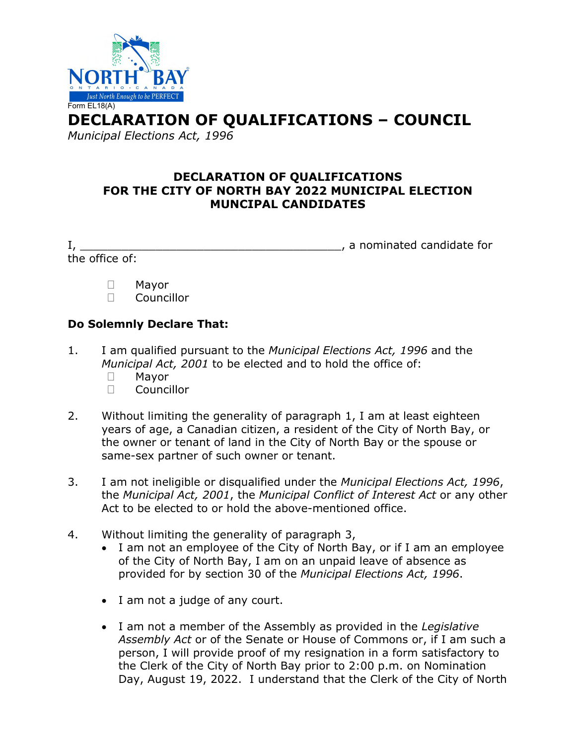

**DECLARATION OF QUALIFICATIONS – COUNCIL** 

*Municipal Elections Act, 1996* 

## **DECLARATION OF QUALIFICATIONS FOR THE CITY OF NORTH BAY 2022 MUNICIPAL ELECTION MUNCIPAL CANDIDATES**

the office of:

I, \_\_\_\_\_\_\_\_\_\_\_\_\_\_\_\_\_\_\_\_\_\_\_\_\_\_\_\_\_\_\_\_\_\_\_\_\_\_, a nominated candidate for

- Mayor
- Councillor

## **Do Solemnly Declare That:**

- 1. I am qualified pursuant to the *Municipal Elections Act, 1996* and the *Municipal Act, 2001* to be elected and to hold the office of:
	- Mayor
	- Councillor
- 2. Without limiting the generality of paragraph 1, I am at least eighteen years of age, a Canadian citizen, a resident of the City of North Bay, or the owner or tenant of land in the City of North Bay or the spouse or same-sex partner of such owner or tenant.
- 3. I am not ineligible or disqualified under the *Municipal Elections Act, 1996*, the *Municipal Act, 2001*, the *Municipal Conflict of Interest Act* or any other Act to be elected to or hold the above-mentioned office.
- 4. Without limiting the generality of paragraph 3,
	- I am not an employee of the City of North Bay, or if I am an employee of the City of North Bay, I am on an unpaid leave of absence as provided for by section 30 of the *Municipal Elections Act, 1996*.
	- I am not a judge of any court.
	- I am not a member of the Assembly as provided in the *Legislative Assembly Act* or of the Senate or House of Commons or, if I am such a person, I will provide proof of my resignation in a form satisfactory to the Clerk of the City of North Bay prior to 2:00 p.m. on Nomination Day, August 19, 2022. I understand that the Clerk of the City of North